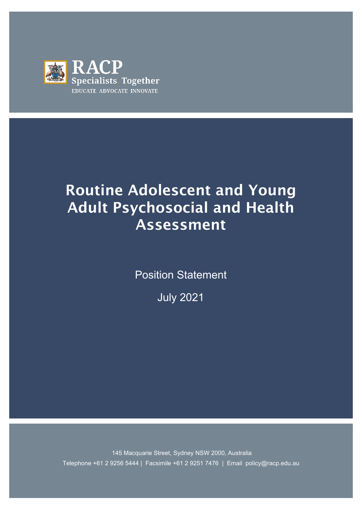

# Routine Adolescent and Young Adult Psychosocial and Health Assessment

Position Statement

July 2021

 Telephone +61 2 9256 5444 | Facsimile +61 2 9251 7476 | Email policy@racp.edu.au 145 Macquarie Street, Sydney NSW 2000, Australia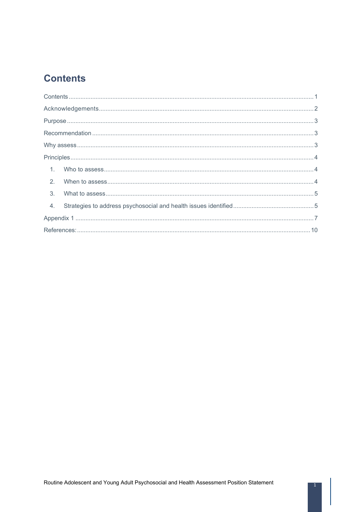## <span id="page-1-0"></span>**Contents**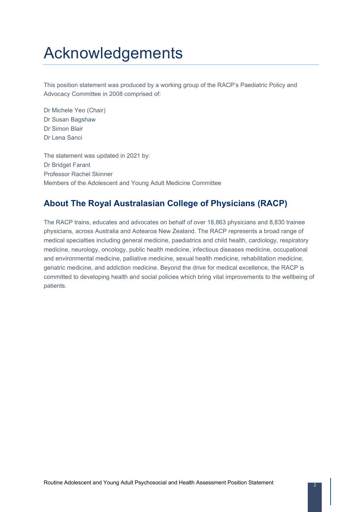# <span id="page-2-0"></span>Acknowledgements

This position statement was produced by a working group of the RACP's Paediatric Policy and Advocacy Committee in 2008 comprised of:

Dr Michele Yeo (Chair) Dr Susan Bagshaw Dr Simon Blair Dr Lena Sanci

The statement was updated in 2021 by: Dr Bridget Farant Professor Rachel Skinner Members of the Adolescent and Young Adult Medicine Committee

## **About The Royal Australasian College of Physicians (RACP)**

The RACP trains, educates and advocates on behalf of over 18,863 physicians and 8,830 trainee physicians, across Australia and Aotearoa New Zealand. The RACP represents a broad range of medical specialties including general medicine, paediatrics and child health, cardiology, respiratory medicine, neurology, oncology, public health medicine, infectious diseases medicine, occupational and environmental medicine, palliative medicine, sexual health medicine, rehabilitation medicine, geriatric medicine, and addiction medicine. Beyond the drive for medical excellence, the RACP is committed to developing health and social policies which bring vital improvements to the wellbeing of patients.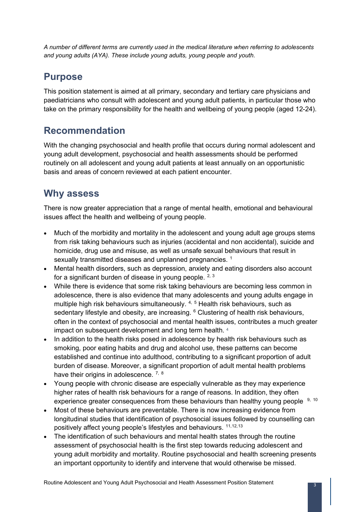*A number of different terms are currently used in the medical literature when referring to adolescents and young adults (AYA). These include young adults, young people and youth.* 

## <span id="page-3-0"></span>**Purpose**

This position statement is aimed at all primary, secondary and tertiary care physicians and paediatricians who consult with adolescent and young adult patients, in particular those who take on the primary responsibility for the health and wellbeing of young people (aged 12-24).

## <span id="page-3-1"></span>**Recommendation**

With the changing psychosocial and health profile that occurs during normal adolescent and young adult development, psychosocial and health assessments should be performed routinely on all adolescent and young adult patients at least annually on an opportunistic basis and areas of concern reviewed at each patient encounter.

## <span id="page-3-2"></span>**Why assess**

There is now greater appreciation that a range of mental health, emotional and behavioural issues affect the health and wellbeing of young people.

- Much of the morbidity and mortality in the adolescent and young adult age groups stems from risk taking behaviours such as injuries (accidental and non accidental), suicide and homicide, drug use and misuse, as well as unsafe sexual behaviours that result in sexually transmitted diseases and unplanned pregnancies.<sup>[1](#page-10-1)</sup>
- Mental health disorders, such as depression, anxiety and eating disorders also account for a significant burden of disease in young people.  $2, 3$  $2, 3$  $2, 3$
- <span id="page-3-3"></span>• While there is evidence that some risk taking behaviours are becoming less common in adolescence, there is also evidence that many adolescents and young adults engage in multiple high risk behaviours simultaneously. <sup>[4](#page-10-4), [5](#page-10-5)</sup> Health risk behaviours, such as sedentary lifestyle and obesity, are increasing. <sup>[6](#page-10-6)</sup> Clustering of health risk behaviours, often in the context of psychosocial and mental health issues, contributes a much greater impact on subsequent development and long term health. [4](#page-3-3)
- In addition to the health risks posed in adolescence by health risk behaviours such as smoking, poor eating habits and drug and alcohol use, these patterns can become established and continue into adulthood, contributing to a significant proportion of adult burden of disease. Moreover, a significant proportion of adult mental health problems have their origins in adolescence. <sup>[7,](#page-10-7) [8](#page-10-8)</sup>
- Young people with chronic disease are especially vulnerable as they may experience higher rates of health risk behaviours for a range of reasons. In addition, they often experience greater consequences from these behaviours than healthy young people <sup>[9](#page-10-9), [10](#page-10-10)</sup>
- Most of these behaviours are preventable. There is now increasing evidence from longitudinal studies that identification of psychosocial issues followed by counselling can positively affect young people's lifestyles and behaviours. [11](#page-10-11)[,12](#page-10-12),[13](#page-10-13)
- The identification of such behaviours and mental health states through the routine assessment of psychosocial health is the first step towards reducing adolescent and young adult morbidity and mortality. Routine psychosocial and health screening presents an important opportunity to identify and intervene that would otherwise be missed.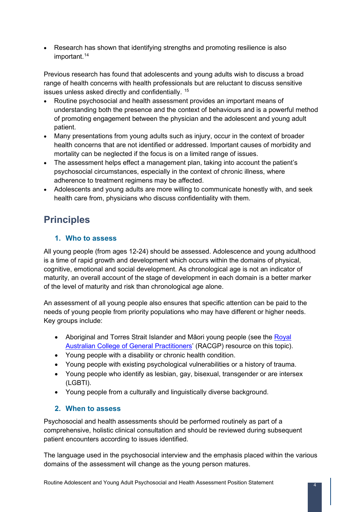• Research has shown that identifying strengths and promoting resilience is also important.<sup>14</sup>

Previous research has found that adolescents and young adults wish to discuss a broad range of health concerns with health professionals but are reluctant to discuss sensitive issues unless asked directly and confidentially. [15](#page-11-0)

- Routine psychosocial and health assessment provides an important means of understanding both the presence and the context of behaviours and is a powerful method of promoting engagement between the physician and the adolescent and young adult patient.
- Many presentations from young adults such as injury, occur in the context of broader health concerns that are not identified or addressed. Important causes of morbidity and mortality can be neglected if the focus is on a limited range of issues.
- The assessment helps effect a management plan, taking into account the patient's psychosocial circumstances, especially in the context of chronic illness, where adherence to treatment regimens may be affected.
- Adolescents and young adults are more willing to communicate honestly with, and seek health care from, physicians who discuss confidentiality with them.

# <span id="page-4-0"></span>**Principles**

### <span id="page-4-1"></span>**1. Who to assess**

All young people (from ages 12-24) should be assessed. Adolescence and young adulthood is a time of rapid growth and development which occurs within the domains of physical, cognitive, emotional and social development. As chronological age is not an indicator of maturity, an overall account of the stage of development in each domain is a better marker of the level of maturity and risk than chronological age alone.

An assessment of all young people also ensures that specific attention can be paid to the needs of young people from priority populations who may have different or higher needs. Key groups include:

- Aboriginal and Torres Strait Islander and Māori young people (see the Royal [Australian College of General Practitioners'](https://www.racgp.org.au/clinical-resources/clinical-guidelines/key-racgp-guidelines/view-all-racgp-guidelines/national-guide) (RACGP) resource on this topic).
- Young people with a disability or chronic health condition.
- Young people with existing psychological vulnerabilities or a history of trauma.
- Young people who identify as lesbian, gay, bisexual, transgender or are intersex (LGBTI).
- Young people from a culturally and linguistically diverse background.

### <span id="page-4-2"></span>**2. When to assess**

Psychosocial and health assessments should be performed routinely as part of a comprehensive, holistic clinical consultation and should be reviewed during subsequent patient encounters according to issues identified.

The language used in the psychosocial interview and the emphasis placed within the various domains of the assessment will change as the young person matures.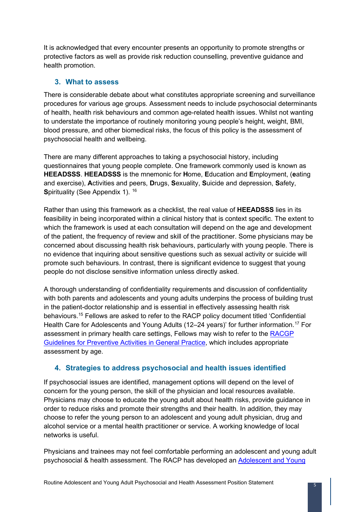It is acknowledged that every encounter presents an opportunity to promote strengths or protective factors as well as provide risk reduction counselling, preventive guidance and health promotion.

#### <span id="page-5-0"></span>**3. What to assess**

There is considerable debate about what constitutes appropriate screening and surveillance procedures for various age groups. Assessment needs to include psychosocial determinants of health, health risk behaviours and common age-related health issues. Whilst not wanting to understate the importance of routinely monitoring young people's height, weight, BMI, blood pressure, and other biomedical risks, the focus of this policy is the assessment of psychosocial health and wellbeing.

There are many different approaches to taking a psychosocial history, including questionnaires that young people complete. One framework commonly used is known as **HEEADSSS**. **HEEADSSS** is the mnemonic for **H**ome, **E**ducation and **E**mployment, (**e**ating and exercise), **A**ctivities and peers, **D**rugs, **S**exuality, **S**uicide and depression, **S**afety, **Spirituality (See [Appendix 1\)](#page-7-0). <sup>[16](#page-11-1)</sup>** 

Rather than using this framework as a checklist, the real value of **HEEADSSS** lies in its feasibility in being incorporated within a clinical history that is context specific. The extent to which the framework is used at each consultation will depend on the age and development of the patient, the frequency of review and skill of the practitioner. Some physicians may be concerned about discussing health risk behaviours, particularly with young people. There is no evidence that inquiring about sensitive questions such as sexual activity or suicide will promote such behaviours. In contrast, there is significant evidence to suggest that young people do not disclose sensitive information unless directly asked.

A thorough understanding of confidentiality requirements and discussion of confidentiality with both parents and adolescents and young adults underpins the process of building trust in the patient-doctor relationship and is essential in effectively assessing health risk behaviours.15 Fellows are asked to refer to the RACP policy document titled 'Confidential Health Care for Adolescents and Young Adults (12–24 years)' for further information.<sup>[17](#page-11-2)</sup> For assessment in primary health care settings, Fellows may wish to refer to the [RACGP](https://www.racgp.org.au/clinical-resources/clinical-guidelines/key-racgp-guidelines/view-all-racgp-guidelines/guidelines-for-preventive-activities-in-general-pr/preventive-activities-in-children-and-young-people)  [Guidelines for Preventive Activities in G](https://www.racgp.org.au/clinical-resources/clinical-guidelines/key-racgp-guidelines/view-all-racgp-guidelines/guidelines-for-preventive-activities-in-general-pr/preventive-activities-in-children-and-young-people)eneral Practice, which includes appropriate assessment by age.

#### <span id="page-5-1"></span>**4. Strategies to address psychosocial and health issues identified**

If psychosocial issues are identified, management options will depend on the level of concern for the young person, the skill of the physician and local resources available. Physicians may choose to educate the young adult about health risks, provide guidance in order to reduce risks and promote their strengths and their health. In addition, they may choose to refer the young person to an adolescent and young adult physician, drug and alcohol service or a mental health practitioner or service. A working knowledge of local networks is useful.

Physicians and trainees may not feel comfortable performing an adolescent and young adult psychosocial & health assessment. The RACP has developed an [Adolescent and](https://elearning.racp.edu.au/course/view.php?id=29) Young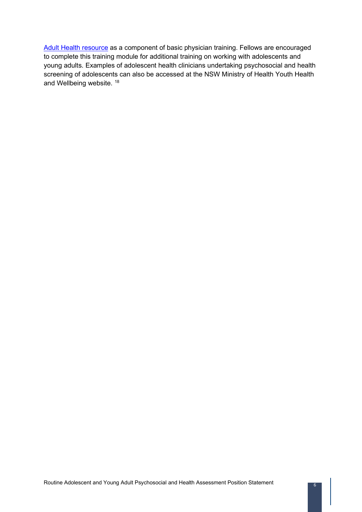[Adult Health resource](https://elearning.racp.edu.au/course/view.php?id=29) as a component of basic physician training. Fellows are encouraged to complete this training module for additional training on working with adolescents and young adults. Examples of adolescent health clinicians undertaking psychosocial and health screening of adolescents can also be accessed at the NSW Ministry of Health Youth Health and Wellbeing website. <sup>[18](#page-11-3)</sup>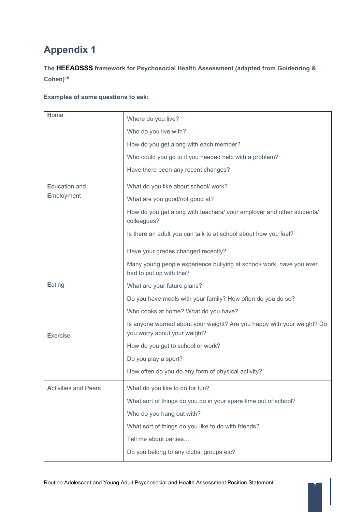# <span id="page-7-0"></span>**Appendix 1**

**The HEEADSSS framework for Psychosocial Health Assessment (adapted from Goldenring & Cohen)16**

#### **Examples of some questions to ask:**

| Home                               | Where do you live?                                                                                      |
|------------------------------------|---------------------------------------------------------------------------------------------------------|
|                                    | Who do you live with?                                                                                   |
|                                    | How do you get along with each member?                                                                  |
|                                    | Who could you go to if you needed help with a problem?                                                  |
|                                    | Have there been any recent changes?                                                                     |
| <b>Education and</b><br>Employment | What do you like about school/ work?                                                                    |
|                                    | What are you good/not good at?                                                                          |
|                                    | How do you get along with teachers/ your employer and other students/<br>colleagues?                    |
|                                    | Is there an adult you can talk to at school about how you feel?                                         |
|                                    | Have your grades changed recently?                                                                      |
|                                    | Many young people experience bullying at school/ work, have you ever<br>had to put up with this?        |
| Eating                             | What are your future plans?                                                                             |
|                                    | Do you have meals with your family? How often do you do so?                                             |
|                                    | Who cooks at home? What do you have?                                                                    |
| <b>Exercise</b>                    | Is anyone worried about your weight? Are you happy with your weight? Do<br>you worry about your weight? |
|                                    | How do you get to school or work?                                                                       |
|                                    | Do you play a sport?                                                                                    |
|                                    | How often do you do any form of physical activity?                                                      |
| <b>Activities and Peers</b>        | What do you like to do for fun?                                                                         |
|                                    | What sort of things do you do in your spare time out of school?                                         |
|                                    | Who do you hang out with?                                                                               |
|                                    | What sort of things do you like to do with friends?                                                     |
|                                    | Tell me about parties                                                                                   |
|                                    | Do you belong to any clubs, groups etc?                                                                 |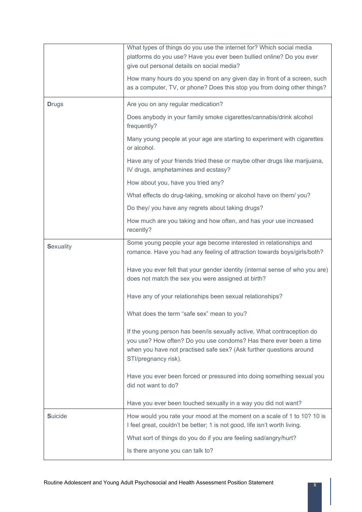|                  | What types of things do you use the internet for? Which social media<br>platforms do you use? Have you ever been bullied online? Do you ever<br>give out personal details on social media?                                                  |
|------------------|---------------------------------------------------------------------------------------------------------------------------------------------------------------------------------------------------------------------------------------------|
|                  | How many hours do you spend on any given day in front of a screen, such<br>as a computer, TV, or phone? Does this stop you from doing other things?                                                                                         |
| <b>Drugs</b>     | Are you on any regular medication?                                                                                                                                                                                                          |
|                  | Does anybody in your family smoke cigarettes/cannabis/drink alcohol<br>frequently?                                                                                                                                                          |
|                  | Many young people at your age are starting to experiment with cigarettes<br>or alcohol.                                                                                                                                                     |
|                  | Have any of your friends tried these or maybe other drugs like marijuana,<br>IV drugs, amphetamines and ecstasy?                                                                                                                            |
|                  | How about you, have you tried any?                                                                                                                                                                                                          |
|                  | What effects do drug-taking, smoking or alcohol have on them/you?                                                                                                                                                                           |
|                  | Do they/ you have any regrets about taking drugs?                                                                                                                                                                                           |
|                  | How much are you taking and how often, and has your use increased<br>recently?                                                                                                                                                              |
| <b>Sexuality</b> | Some young people your age become interested in relationships and<br>romance. Have you had any feeling of attraction towards boys/girls/both?                                                                                               |
|                  | Have you ever felt that your gender identity (internal sense of who you are)<br>does not match the sex you were assigned at birth?                                                                                                          |
|                  | Have any of your relationships been sexual relationships?                                                                                                                                                                                   |
|                  | What does the term "safe sex" mean to you?                                                                                                                                                                                                  |
|                  | If the young person has been/is sexually active, What contraception do<br>you use? How often? Do you use condoms? Has there ever been a time<br>when you have not practised safe sex? (Ask further questions around<br>STI/pregnancy risk). |
|                  | Have you ever been forced or pressured into doing something sexual you<br>did not want to do?                                                                                                                                               |
|                  | Have you ever been touched sexually in a way you did not want?                                                                                                                                                                              |
| <b>Suicide</b>   | How would you rate your mood at the moment on a scale of 1 to 10? 10 is<br>I feel great, couldn't be better; 1 is not good, life isn't worth living.                                                                                        |
|                  | What sort of things do you do if you are feeling sad/angry/hurt?                                                                                                                                                                            |
|                  | Is there anyone you can talk to?                                                                                                                                                                                                            |

 $\overline{\phantom{a}}$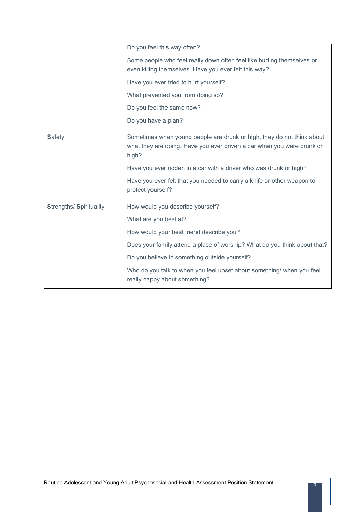|                                | Do you feel this way often?                                                                                                                               |
|--------------------------------|-----------------------------------------------------------------------------------------------------------------------------------------------------------|
|                                | Some people who feel really down often feel like hurting themselves or<br>even killing themselves. Have you ever felt this way?                           |
|                                | Have you ever tried to hurt yourself?                                                                                                                     |
|                                | What prevented you from doing so?                                                                                                                         |
|                                | Do you feel the same now?                                                                                                                                 |
|                                | Do you have a plan?                                                                                                                                       |
| <b>Safety</b>                  | Sometimes when young people are drunk or high, they do not think about<br>what they are doing. Have you ever driven a car when you were drunk or<br>high? |
|                                | Have you ever ridden in a car with a driver who was drunk or high?                                                                                        |
|                                | Have you ever felt that you needed to carry a knife or other weapon to<br>protect yourself?                                                               |
| <b>Strengths/ Spirituality</b> | How would you describe yourself?                                                                                                                          |
|                                | What are you best at?                                                                                                                                     |
|                                | How would your best friend describe you?                                                                                                                  |
|                                | Does your family attend a place of worship? What do you think about that?                                                                                 |
|                                | Do you believe in something outside yourself?                                                                                                             |
|                                | Who do you talk to when you feel upset about something/ when you feel<br>really happy about something?                                                    |

 $\overline{\phantom{a}}$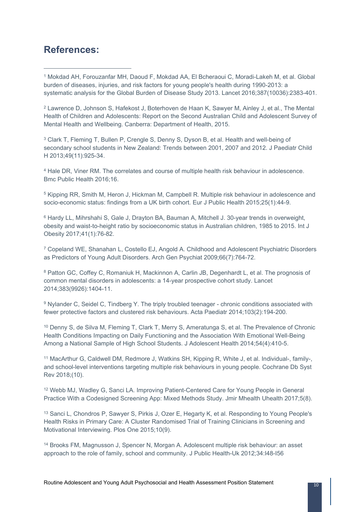## <span id="page-10-0"></span>**References:**

<span id="page-10-1"></span><sup>1</sup> Mokdad AH, Forouzanfar MH, Daoud F, Mokdad AA, El Bcheraoui C, Moradi-Lakeh M, et al. Global burden of diseases, injuries, and risk factors for young people's health during 1990-2013: a systematic analysis for the Global Burden of Disease Study 2013. Lancet 2016;387(10036):2383-401.

<span id="page-10-2"></span><sup>2</sup> Lawrence D, Johnson S, Hafekost J, Boterhoven de Haan K, Sawyer M, Ainley J, et al., The Mental Health of Children and Adolescents: Report on the Second Australian Child and Adolescent Survey of Mental Health and Wellbeing. Canberra: Department of Health, 2015.

<span id="page-10-3"></span><sup>3</sup> Clark T, Fleming T, Bullen P, Crengle S, Denny S, Dyson B, et al. Health and well-being of secondary school students in New Zealand: Trends between 2001, 2007 and 2012. J Paediatr Child H 2013;49(11):925-34.

<span id="page-10-4"></span><sup>4</sup> Hale DR, Viner RM. The correlates and course of multiple health risk behaviour in adolescence. Bmc Public Health 2016;16.

<span id="page-10-5"></span><sup>5</sup> Kipping RR, Smith M, Heron J, Hickman M, Campbell R. Multiple risk behaviour in adolescence and socio-economic status: findings from a UK birth cohort. Eur J Public Health 2015;25(1):44-9.

<span id="page-10-6"></span><sup>6</sup> Hardy LL, Mihrshahi S, Gale J, Drayton BA, Bauman A, Mitchell J. 30-year trends in overweight, obesity and waist-to-height ratio by socioeconomic status in Australian children, 1985 to 2015. Int J Obesity 2017;41(1):76-82.

<span id="page-10-7"></span><sup>7</sup> Copeland WE, Shanahan L, Costello EJ, Angold A. Childhood and Adolescent Psychiatric Disorders as Predictors of Young Adult Disorders. Arch Gen Psychiat 2009;66(7):764-72.

<span id="page-10-8"></span><sup>8</sup> Patton GC, Coffey C, Romaniuk H, Mackinnon A, Carlin JB, Degenhardt L, et al. The prognosis of common mental disorders in adolescents: a 14-year prospective cohort study. Lancet 2014;383(9926):1404-11.

<span id="page-10-9"></span><sup>9</sup> Nylander C, Seidel C, Tindberg Y. The triply troubled teenager - chronic conditions associated with fewer protective factors and clustered risk behaviours. Acta Paediatr 2014;103(2):194-200.

<span id="page-10-10"></span><sup>10</sup> Denny S, de Silva M, Fleming T, Clark T, Merry S, Ameratunga S, et al. The Prevalence of Chronic Health Conditions Impacting on Daily Functioning and the Association With Emotional Well-Being Among a National Sample of High School Students. J Adolescent Health 2014;54(4):410-5.

<span id="page-10-11"></span><sup>11</sup> MacArthur G, Caldwell DM, Redmore J, Watkins SH, Kipping R, White J, et al. Individual-, family-, and school-level interventions targeting multiple risk behaviours in young people. Cochrane Db Syst Rev 2018;(10).

<span id="page-10-12"></span><sup>12</sup> Webb MJ, Wadley G, Sanci LA. Improving Patient-Centered Care for Young People in General Practice With a Codesigned Screening App: Mixed Methods Study. Jmir Mhealth Uhealth 2017;5(8).

<span id="page-10-13"></span><sup>13</sup> Sanci L, Chondros P, Sawyer S, Pirkis J, Ozer E, Hegarty K, et al. Responding to Young People's Health Risks in Primary Care: A Cluster Randomised Trial of Training Clinicians in Screening and Motivational Interviewing. Plos One 2015;10(9).

<span id="page-10-14"></span><sup>14</sup> Brooks FM, Magnusson J, Spencer N, Morgan A. Adolescent multiple risk behaviour: an asset approach to the role of family, school and community. J Public Health-Uk 2012;34:I48-I56